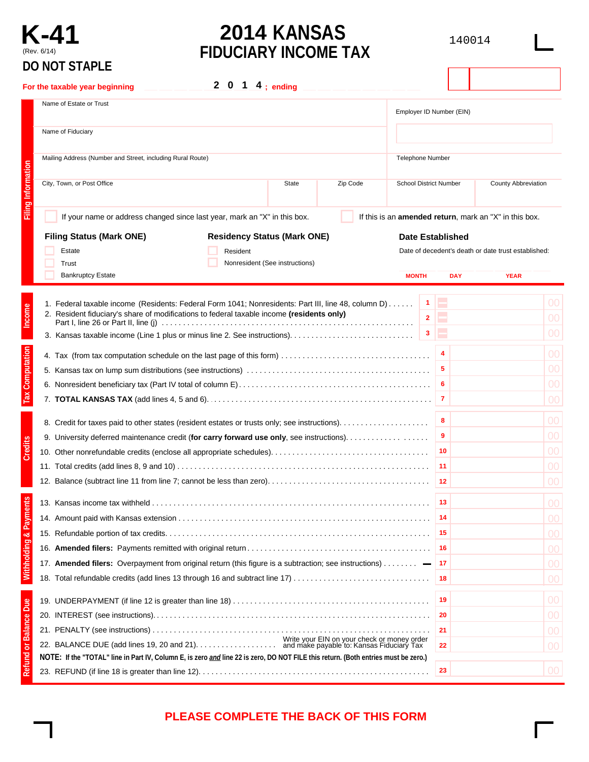# **DO NOT STAPLE**

# **K-41 2014 KANSAS 140014 EIDILCIARY INCOME TAX** (Rev. 6/14) **FIDUCIARY INCOME TAX**

|                                   | בב וחוט וטעו טע                                                                                                                                                                                  |                               |            |                                                        |           |
|-----------------------------------|--------------------------------------------------------------------------------------------------------------------------------------------------------------------------------------------------|-------------------------------|------------|--------------------------------------------------------|-----------|
|                                   | 2 0 1 $4$ ; ending<br>For the taxable year beginning                                                                                                                                             |                               |            |                                                        |           |
|                                   | Name of Estate or Trust                                                                                                                                                                          | Employer ID Number (EIN)      |            |                                                        |           |
|                                   | Name of Fiduciary                                                                                                                                                                                |                               |            |                                                        |           |
|                                   | Mailing Address (Number and Street, including Rural Route)                                                                                                                                       | <b>Telephone Number</b>       |            |                                                        |           |
| <b>Filing Information</b>         | City, Town, or Post Office<br>Zip Code<br>State                                                                                                                                                  | <b>School District Number</b> |            | County Abbreviation                                    |           |
|                                   | If your name or address changed since last year, mark an "X" in this box.                                                                                                                        |                               |            | If this is an amended return, mark an "X" in this box. |           |
|                                   | <b>Filing Status (Mark ONE)</b><br><b>Residency Status (Mark ONE)</b>                                                                                                                            | <b>Date Established</b>       |            |                                                        |           |
|                                   | Estate<br>Resident                                                                                                                                                                               |                               |            | Date of decedent's death or date trust established:    |           |
|                                   | Nonresident (See instructions)<br>Trust                                                                                                                                                          |                               |            |                                                        |           |
|                                   | <b>Bankruptcy Estate</b>                                                                                                                                                                         | <b>MONTH</b>                  | <b>DAY</b> | <b>YEAR</b>                                            |           |
| Income                            | 1. Federal taxable income (Residents: Federal Form 1041; Nonresidents: Part III, line 48, column D)<br>2. Resident fiduciary's share of modifications to federal taxable income (residents only) | $\mathbf{1}$<br>$\mathbf{2}$  | Ξ<br>E     |                                                        | 00        |
|                                   |                                                                                                                                                                                                  |                               |            |                                                        | 00        |
|                                   |                                                                                                                                                                                                  | $\mathbf{3}$                  | E          |                                                        | 00        |
| Tax Computation                   |                                                                                                                                                                                                  |                               | 4          |                                                        | 00        |
|                                   |                                                                                                                                                                                                  |                               | 5          |                                                        | 00        |
|                                   |                                                                                                                                                                                                  |                               | 6          |                                                        | 00        |
|                                   |                                                                                                                                                                                                  |                               |            |                                                        | 00        |
|                                   | 8. Credit for taxes paid to other states (resident estates or trusts only; see instructions)                                                                                                     |                               | 8          |                                                        | 00        |
|                                   | 9. University deferred maintenance credit (for carry forward use only, see instructions).                                                                                                        |                               | 9          |                                                        | 00        |
| Credits                           |                                                                                                                                                                                                  |                               | 10         |                                                        | 00        |
|                                   |                                                                                                                                                                                                  |                               | 11         |                                                        | 00        |
|                                   |                                                                                                                                                                                                  |                               | ∣ 12       |                                                        | 00        |
|                                   |                                                                                                                                                                                                  |                               | 13         |                                                        | <b>OO</b> |
|                                   |                                                                                                                                                                                                  |                               | 14         |                                                        | 00        |
|                                   |                                                                                                                                                                                                  |                               | 15         |                                                        | 00        |
|                                   |                                                                                                                                                                                                  |                               | -16        |                                                        | 00        |
|                                   | 17. Amended filers: Overpayment from original return (this figure is a subtraction; see instructions)                                                                                            |                               | 17         |                                                        | 00        |
| <b>Withholding &amp; Payments</b> | 18. Total refundable credits (add lines 13 through 16 and subtract line 17)                                                                                                                      |                               | 18         |                                                        | 00        |
|                                   |                                                                                                                                                                                                  |                               | 19         |                                                        | 00        |
| <b>Balance Due</b>                |                                                                                                                                                                                                  |                               | 20         |                                                        | 00        |
|                                   |                                                                                                                                                                                                  |                               | 21         |                                                        | 00        |
|                                   | Write your EIN on your check or money order                                                                                                                                                      |                               | 22         |                                                        | 00        |
| Refund or                         | NOTE: If the "TOTAL" line in Part IV, Column E, is zero and line 22 is zero, DO NOT FILE this return. (Both entries must be zero.)                                                               |                               |            |                                                        |           |
|                                   |                                                                                                                                                                                                  |                               | 23         |                                                        | 00        |

# **PLEASE COMPLETE THE BACK OF THIS FORM**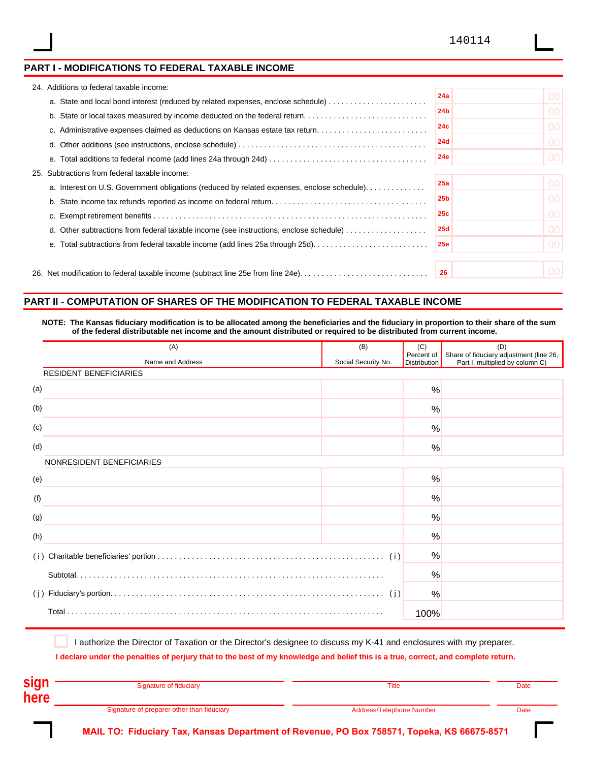## **PART I - MODIFICATIONS TO FEDERAL TAXABLE INCOME**

|                                                  | 24. Additions to federal taxable income:                                                   |                 |                 |  |  |
|--------------------------------------------------|--------------------------------------------------------------------------------------------|-----------------|-----------------|--|--|
|                                                  | a. State and local bond interest (reduced by related expenses, enclose schedule)           | 24a             | 00 <sup>1</sup> |  |  |
|                                                  | b. State or local taxes measured by income deducted on the federal return                  | 24 <sub>b</sub> | 00 <sup>1</sup> |  |  |
|                                                  | c. Administrative expenses claimed as deductions on Kansas estate tax return               | 24c             | 00 <sup>1</sup> |  |  |
|                                                  |                                                                                            | <b>24d</b>      | 00 <sup>1</sup> |  |  |
|                                                  |                                                                                            | <b>24e</b>      | 00 <sup>1</sup> |  |  |
| Subtractions from federal taxable income:<br>25. |                                                                                            |                 |                 |  |  |
|                                                  | a. Interest on U.S. Government obligations (reduced by related expenses, enclose schedule) | 25a             | 00 <sup>1</sup> |  |  |
|                                                  |                                                                                            | 25 <sub>b</sub> | 00 <sup>1</sup> |  |  |
|                                                  |                                                                                            | 25c             | 00 <sup>1</sup> |  |  |
|                                                  | d. Other subtractions from federal taxable income (see instructions, enclose schedule)     | <b>25d</b>      | 00 <sup>1</sup> |  |  |
|                                                  | e. Total subtractions from federal taxable income (add lines 25a through 25d)              | <b>25e</b>      | 00 <sup>1</sup> |  |  |
|                                                  |                                                                                            |                 |                 |  |  |
|                                                  |                                                                                            |                 | 00 <sup>1</sup> |  |  |

# **PART II - COMPUTATION OF SHARES OF THE MODIFICATION TO FEDERAL TAXABLE INCOME**

NOTE: The Kansas fiduciary modification is to be allocated among the beneficiaries and the fiduciary in proportion to their share of the sum of the federal distributable net income and the amount distributed or required to be distributed from current income.

| (A)                           | (B)                 | (C)                               | (D)                                                                        |
|-------------------------------|---------------------|-----------------------------------|----------------------------------------------------------------------------|
| Name and Address              | Social Security No. | Percent of<br><b>Distribution</b> | Share of fiduciary adjustment (line 26,<br>Part I, multiplied by column C) |
| <b>RESIDENT BENEFICIARIES</b> |                     |                                   |                                                                            |
| (a)                           |                     | %                                 |                                                                            |
| (b)                           |                     | %                                 |                                                                            |
| (c)                           |                     | %                                 |                                                                            |
| (d)                           |                     | %                                 |                                                                            |
| NONRESIDENT BENEFICIARIES     |                     |                                   |                                                                            |
| (e)                           |                     | $\frac{0}{0}$                     |                                                                            |
| (f)                           |                     | %                                 |                                                                            |
| (g)                           |                     | $\frac{0}{0}$                     |                                                                            |
| (h)                           |                     | %                                 |                                                                            |
|                               |                     | %                                 |                                                                            |
|                               |                     | %                                 |                                                                            |
|                               |                     | %                                 |                                                                            |
|                               |                     | 100%                              |                                                                            |

I authorize the Director of Taxation or the Director's designee to discuss my K-41 and enclosures with my preparer.

I declare under the penalties of perjury that to the best of my knowledge and belief this is a true, correct, and complete return.

| <b>Sidi</b> | Signature of fiduciary                     | Title                    | Date |
|-------------|--------------------------------------------|--------------------------|------|
| here        |                                            |                          |      |
|             | Signature of preparer other than fiduciary | Address/Telephone Number | Date |

**MAIL TO: Fiduciary Tax, Kansas Department of Revenue, PO Box 758571, Topeka, KS 66675-8571**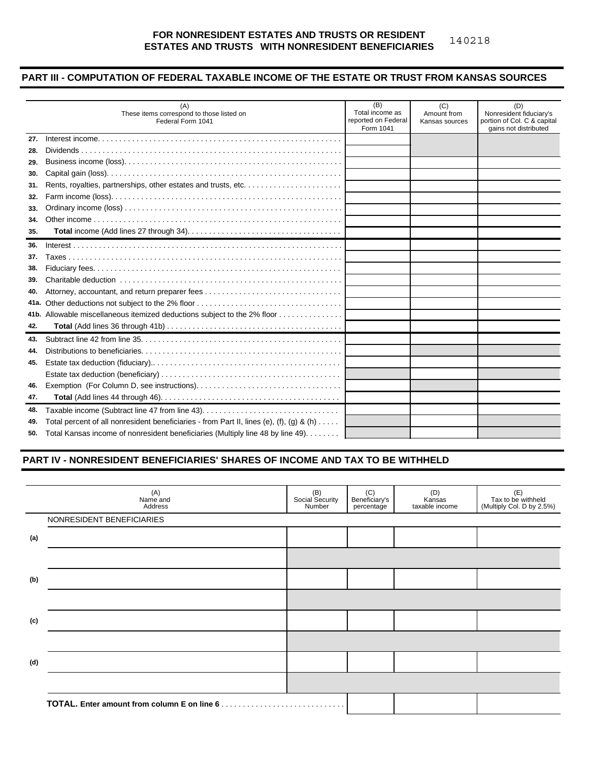#### **FOR NONRESIDENT ESTATES AND TRUSTS OR RESIDENT ESTATES AND TRUSTS WITH NONRESIDENT BENEFICIARIES** 140218

## **PART III - COMPUTATION OF FEDERAL TAXABLE INCOME OF THE ESTATE OR TRUST FROM KANSAS SOURCES**

|      | (A)<br>These items correspond to those listed on<br>Federal Form 1041                              | (B)<br>Total income as<br>reported on Federal<br>Form 1041 | (C)<br>Amount from<br>Kansas sources | (D)<br>Nonresident fiduciary's<br>portion of Col. C & capital<br>gains not distributed |
|------|----------------------------------------------------------------------------------------------------|------------------------------------------------------------|--------------------------------------|----------------------------------------------------------------------------------------|
| 27.  |                                                                                                    |                                                            |                                      |                                                                                        |
| 28.  |                                                                                                    |                                                            |                                      |                                                                                        |
| 29.  |                                                                                                    |                                                            |                                      |                                                                                        |
| 30.  |                                                                                                    |                                                            |                                      |                                                                                        |
| 31.  |                                                                                                    |                                                            |                                      |                                                                                        |
| 32.  |                                                                                                    |                                                            |                                      |                                                                                        |
| 33.  |                                                                                                    |                                                            |                                      |                                                                                        |
| 34.  |                                                                                                    |                                                            |                                      |                                                                                        |
| 35.  |                                                                                                    |                                                            |                                      |                                                                                        |
| 36.  |                                                                                                    |                                                            |                                      |                                                                                        |
| 37.  |                                                                                                    |                                                            |                                      |                                                                                        |
| 38.  |                                                                                                    |                                                            |                                      |                                                                                        |
| 39.  |                                                                                                    |                                                            |                                      |                                                                                        |
| 40.  |                                                                                                    |                                                            |                                      |                                                                                        |
| 41a. |                                                                                                    |                                                            |                                      |                                                                                        |
|      | 41b. Allowable miscellaneous itemized deductions subject to the 2% floor                           |                                                            |                                      |                                                                                        |
| 42.  |                                                                                                    |                                                            |                                      |                                                                                        |
| 43.  |                                                                                                    |                                                            |                                      |                                                                                        |
| 44.  |                                                                                                    |                                                            |                                      |                                                                                        |
| 45.  |                                                                                                    |                                                            |                                      |                                                                                        |
|      |                                                                                                    |                                                            |                                      |                                                                                        |
| 46.  |                                                                                                    |                                                            |                                      |                                                                                        |
| 47.  |                                                                                                    |                                                            |                                      |                                                                                        |
| 48.  |                                                                                                    |                                                            |                                      |                                                                                        |
| 49.  | Total percent of all nonresident beneficiaries - from Part II, lines (e), (f), (g) & (h) $\dots$ . |                                                            |                                      |                                                                                        |
| 50.  | Total Kansas income of nonresident beneficiaries (Multiply line 48 by line 49).                    |                                                            |                                      |                                                                                        |

## **PART IV - NONRESIDENT BENEFICIARIES' SHARES OF INCOME AND TAX TO BE WITHHELD**

|     | (A)<br>Name and<br>Address | (B)<br>Social Security<br>Number | (C)<br>Beneficiary's<br>percentage | (D)<br>Kansas<br>taxable income | (E)<br>Tax to be withheld<br>(Multiply Col. D by 2.5%) |
|-----|----------------------------|----------------------------------|------------------------------------|---------------------------------|--------------------------------------------------------|
|     | NONRESIDENT BENEFICIARIES  |                                  |                                    |                                 |                                                        |
| (a) |                            |                                  |                                    |                                 |                                                        |
|     |                            |                                  |                                    |                                 |                                                        |
| (b) |                            |                                  |                                    |                                 |                                                        |
|     |                            |                                  |                                    |                                 |                                                        |
| (c) |                            |                                  |                                    |                                 |                                                        |
|     |                            |                                  |                                    |                                 |                                                        |
| (d) |                            |                                  |                                    |                                 |                                                        |
|     |                            |                                  |                                    |                                 |                                                        |
|     |                            |                                  |                                    |                                 |                                                        |